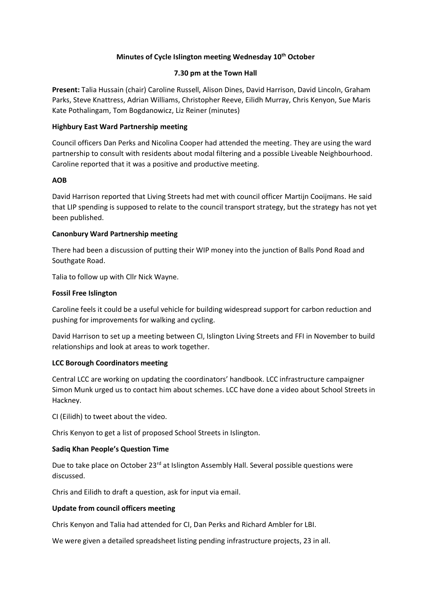# **Minutes of Cycle Islington meeting Wednesday 10th October**

## **7.30 pm at the Town Hall**

**Present:** Talia Hussain (chair) Caroline Russell, Alison Dines, David Harrison, David Lincoln, Graham Parks, Steve Knattress, Adrian Williams, Christopher Reeve, Eilidh Murray, Chris Kenyon, Sue Maris Kate Pothalingam, Tom Bogdanowicz, Liz Reiner (minutes)

## **Highbury East Ward Partnership meeting**

Council officers Dan Perks and Nicolina Cooper had attended the meeting. They are using the ward partnership to consult with residents about modal filtering and a possible Liveable Neighbourhood. Caroline reported that it was a positive and productive meeting.

### **AOB**

David Harrison reported that Living Streets had met with council officer Martijn Cooijmans. He said that LIP spending is supposed to relate to the council transport strategy, but the strategy has not yet been published.

### **Canonbury Ward Partnership meeting**

There had been a discussion of putting their WIP money into the junction of Balls Pond Road and Southgate Road.

Talia to follow up with Cllr Nick Wayne.

### **Fossil Free Islington**

Caroline feels it could be a useful vehicle for building widespread support for carbon reduction and pushing for improvements for walking and cycling.

David Harrison to set up a meeting between CI, Islington Living Streets and FFI in November to build relationships and look at areas to work together.

## **LCC Borough Coordinators meeting**

Central LCC are working on updating the coordinators' handbook. LCC infrastructure campaigner Simon Munk urged us to contact him about schemes. LCC have done a video about School Streets in Hackney.

CI (Eilidh) to tweet about the video.

Chris Kenyon to get a list of proposed School Streets in Islington.

# **Sadiq Khan People's Question Time**

Due to take place on October 23<sup>rd</sup> at Islington Assembly Hall. Several possible questions were discussed.

Chris and Eilidh to draft a question, ask for input via email.

#### **Update from council officers meeting**

Chris Kenyon and Talia had attended for CI, Dan Perks and Richard Ambler for LBI.

We were given a detailed spreadsheet listing pending infrastructure projects, 23 in all.